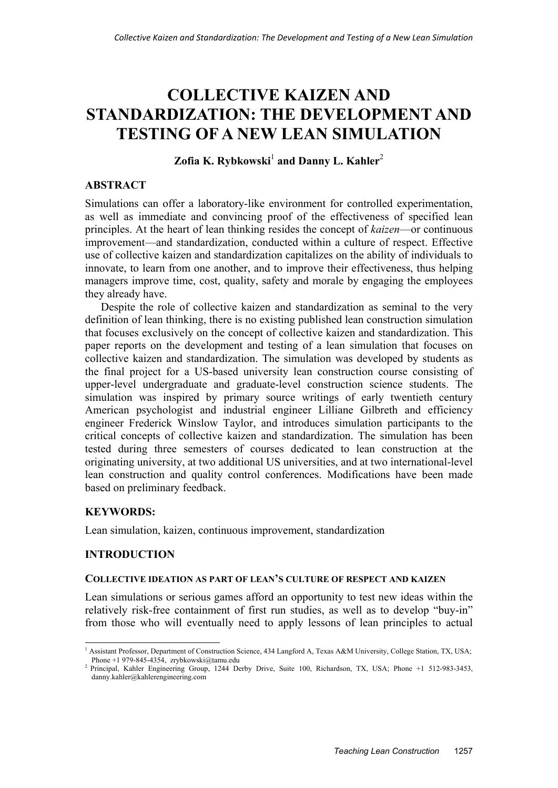# **COLLECTIVE KAIZEN AND STANDARDIZATION: THE DEVELOPMENT AND TESTING OF A NEW LEAN SIMULATION**

**Zofia K. Rybkowski**<sup>1</sup> and Danny L. Kahler<sup>2</sup>

# **ABSTRACT**

Simulations can offer a laboratory-like environment for controlled experimentation, as well as immediate and convincing proof of the effectiveness of specified lean principles. At the heart of lean thinking resides the concept of *kaizen*—or continuous improvement—and standardization, conducted within a culture of respect. Effective use of collective kaizen and standardization capitalizes on the ability of individuals to innovate, to learn from one another, and to improve their effectiveness, thus helping managers improve time, cost, quality, safety and morale by engaging the employees they already have.

Despite the role of collective kaizen and standardization as seminal to the very definition of lean thinking, there is no existing published lean construction simulation that focuses exclusively on the concept of collective kaizen and standardization. This paper reports on the development and testing of a lean simulation that focuses on collective kaizen and standardization. The simulation was developed by students as the final project for a US-based university lean construction course consisting of upper-level undergraduate and graduate-level construction science students. The simulation was inspired by primary source writings of early twentieth century American psychologist and industrial engineer Lilliane Gilbreth and efficiency engineer Frederick Winslow Taylor, and introduces simulation participants to the critical concepts of collective kaizen and standardization. The simulation has been tested during three semesters of courses dedicated to lean construction at the originating university, at two additional US universities, and at two international-level lean construction and quality control conferences. Modifications have been made based on preliminary feedback.

# **KEYWORDS:**

Lean simulation, kaizen, continuous improvement, standardization

## **INTRODUCTION**

## **COLLECTIVE IDEATION AS PART OF LEAN'S CULTURE OF RESPECT AND KAIZEN**

Lean simulations or serious games afford an opportunity to test new ideas within the relatively risk-free containment of first run studies, as well as to develop "buy-in" from those who will eventually need to apply lessons of lean principles to actual

<sup>-</sup><sup>1</sup> Assistant Professor, Department of Construction Science, 434 Langford A, Texas A&M University, College Station, TX, USA; Phone +1 979-845-4354, zrybkowski@tamu.edu<br><sup>2</sup> Principal, Kahler Engineering Group, 1244 Derby Drive, Suite 100, Richardson, TX, USA; Phone +1 512-983-3453,

danny.kahler@kahlerengineering.com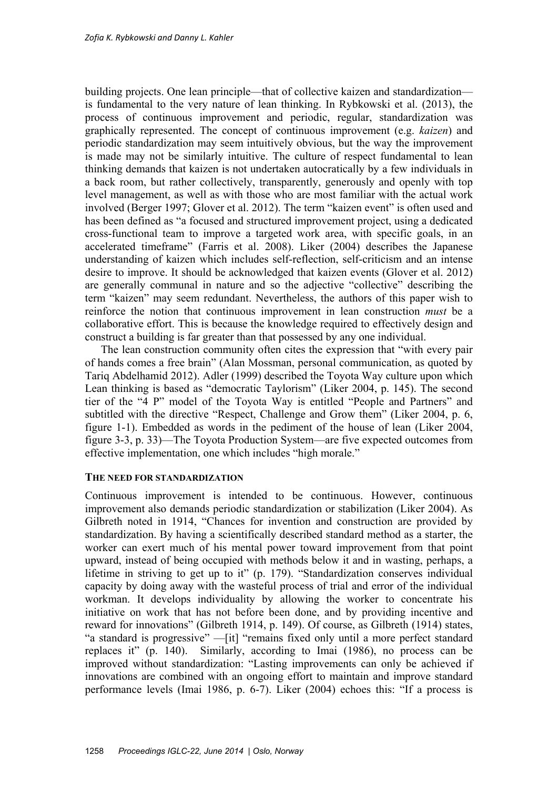building projects. One lean principle—that of collective kaizen and standardization is fundamental to the very nature of lean thinking. In Rybkowski et al. (2013), the process of continuous improvement and periodic, regular, standardization was graphically represented. The concept of continuous improvement (e.g. *kaizen*) and periodic standardization may seem intuitively obvious, but the way the improvement is made may not be similarly intuitive. The culture of respect fundamental to lean thinking demands that kaizen is not undertaken autocratically by a few individuals in a back room, but rather collectively, transparently, generously and openly with top level management, as well as with those who are most familiar with the actual work involved (Berger 1997; Glover et al. 2012). The term "kaizen event" is often used and has been defined as "a focused and structured improvement project, using a dedicated cross-functional team to improve a targeted work area, with specific goals, in an accelerated timeframe" (Farris et al. 2008). Liker (2004) describes the Japanese understanding of kaizen which includes self-reflection, self-criticism and an intense desire to improve. It should be acknowledged that kaizen events (Glover et al. 2012) are generally communal in nature and so the adjective "collective" describing the term "kaizen" may seem redundant. Nevertheless, the authors of this paper wish to reinforce the notion that continuous improvement in lean construction *must* be a collaborative effort. This is because the knowledge required to effectively design and construct a building is far greater than that possessed by any one individual.

The lean construction community often cites the expression that "with every pair of hands comes a free brain" (Alan Mossman, personal communication, as quoted by Tariq Abdelhamid 2012). Adler (1999) described the Toyota Way culture upon which Lean thinking is based as "democratic Taylorism" (Liker 2004, p. 145). The second tier of the "4 P" model of the Toyota Way is entitled "People and Partners" and subtitled with the directive "Respect, Challenge and Grow them" (Liker 2004, p. 6, figure 1-1). Embedded as words in the pediment of the house of lean (Liker 2004, figure 3-3, p. 33)—The Toyota Production System—are five expected outcomes from effective implementation, one which includes "high morale."

#### **THE NEED FOR STANDARDIZATION**

Continuous improvement is intended to be continuous. However, continuous improvement also demands periodic standardization or stabilization (Liker 2004). As Gilbreth noted in 1914, "Chances for invention and construction are provided by standardization. By having a scientifically described standard method as a starter, the worker can exert much of his mental power toward improvement from that point upward, instead of being occupied with methods below it and in wasting, perhaps, a lifetime in striving to get up to it" (p. 179). "Standardization conserves individual capacity by doing away with the wasteful process of trial and error of the individual workman. It develops individuality by allowing the worker to concentrate his initiative on work that has not before been done, and by providing incentive and reward for innovations" (Gilbreth 1914, p. 149). Of course, as Gilbreth (1914) states, "a standard is progressive" —[it] "remains fixed only until a more perfect standard replaces it" (p. 140). Similarly, according to Imai (1986), no process can be improved without standardization: "Lasting improvements can only be achieved if innovations are combined with an ongoing effort to maintain and improve standard performance levels (Imai 1986, p. 6-7). Liker (2004) echoes this: "If a process is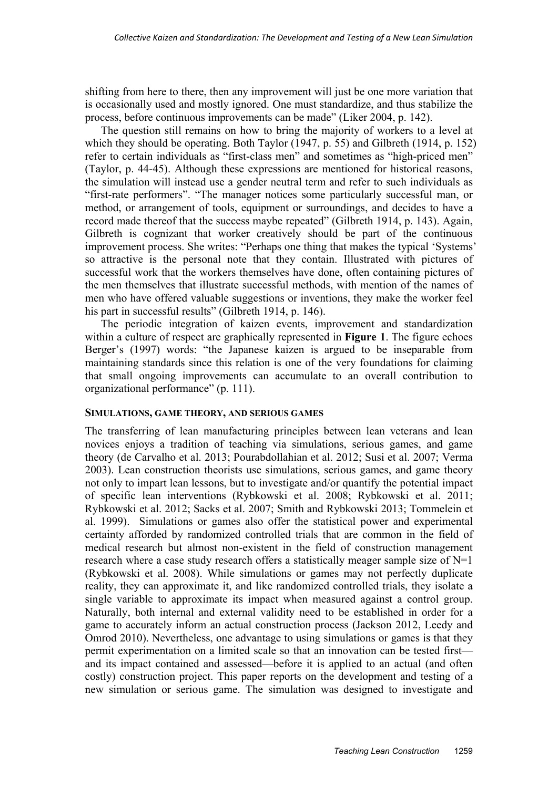shifting from here to there, then any improvement will just be one more variation that is occasionally used and mostly ignored. One must standardize, and thus stabilize the process, before continuous improvements can be made" (Liker 2004, p. 142).

The question still remains on how to bring the majority of workers to a level at which they should be operating. Both Taylor (1947, p. 55) and Gilbreth (1914, p. 152) refer to certain individuals as "first-class men" and sometimes as "high-priced men" (Taylor, p. 44-45). Although these expressions are mentioned for historical reasons, the simulation will instead use a gender neutral term and refer to such individuals as "first-rate performers". "The manager notices some particularly successful man, or method, or arrangement of tools, equipment or surroundings, and decides to have a record made thereof that the success maybe repeated" (Gilbreth 1914, p. 143). Again, Gilbreth is cognizant that worker creatively should be part of the continuous improvement process. She writes: "Perhaps one thing that makes the typical 'Systems' so attractive is the personal note that they contain. Illustrated with pictures of successful work that the workers themselves have done, often containing pictures of the men themselves that illustrate successful methods, with mention of the names of men who have offered valuable suggestions or inventions, they make the worker feel his part in successful results" (Gilbreth 1914, p. 146).

The periodic integration of kaizen events, improvement and standardization within a culture of respect are graphically represented in **Figure 1**. The figure echoes Berger's (1997) words: "the Japanese kaizen is argued to be inseparable from maintaining standards since this relation is one of the very foundations for claiming that small ongoing improvements can accumulate to an overall contribution to organizational performance" (p. 111).

#### **SIMULATIONS, GAME THEORY, AND SERIOUS GAMES**

The transferring of lean manufacturing principles between lean veterans and lean novices enjoys a tradition of teaching via simulations, serious games, and game theory (de Carvalho et al. 2013; Pourabdollahian et al. 2012; Susi et al. 2007; Verma 2003). Lean construction theorists use simulations, serious games, and game theory not only to impart lean lessons, but to investigate and/or quantify the potential impact of specific lean interventions (Rybkowski et al. 2008; Rybkowski et al. 2011; Rybkowski et al. 2012; Sacks et al. 2007; Smith and Rybkowski 2013; Tommelein et al. 1999). Simulations or games also offer the statistical power and experimental certainty afforded by randomized controlled trials that are common in the field of medical research but almost non-existent in the field of construction management research where a case study research offers a statistically meager sample size of N=1 (Rybkowski et al. 2008). While simulations or games may not perfectly duplicate reality, they can approximate it, and like randomized controlled trials, they isolate a single variable to approximate its impact when measured against a control group. Naturally, both internal and external validity need to be established in order for a game to accurately inform an actual construction process (Jackson 2012, Leedy and Omrod 2010). Nevertheless, one advantage to using simulations or games is that they permit experimentation on a limited scale so that an innovation can be tested first and its impact contained and assessed—before it is applied to an actual (and often costly) construction project. This paper reports on the development and testing of a new simulation or serious game. The simulation was designed to investigate and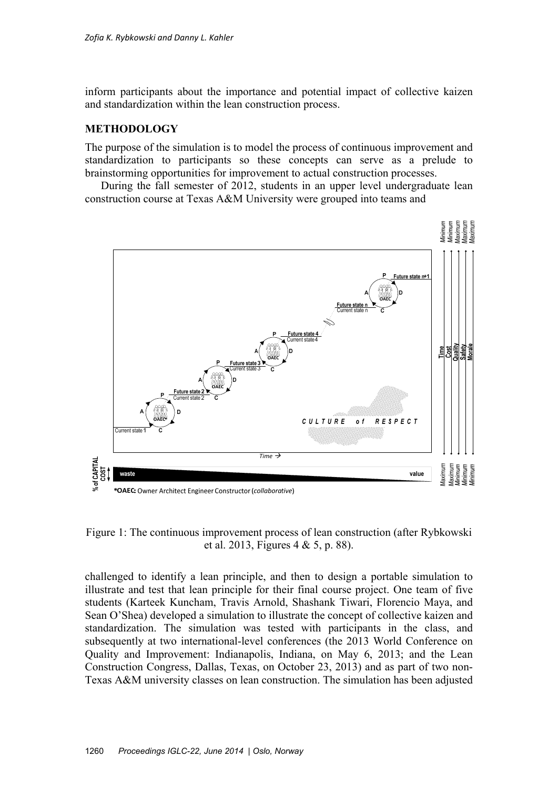inform participants about the importance and potential impact of collective kaizen and standardization within the lean construction process.

# **METHODOLOGY**

The purpose of the simulation is to model the process of continuous improvement and standardization to participants so these concepts can serve as a prelude to brainstorming opportunities for improvement to actual construction processes.

During the fall semester of 2012, students in an upper level undergraduate lean construction course at Texas A&M University were grouped into teams and



Figure 1: The continuous improvement process of lean construction (after Rybkowski et al. 2013, Figures 4 & 5, p. 88).

challenged to identify a lean principle, and then to design a portable simulation to illustrate and test that lean principle for their final course project. One team of five students (Karteek Kuncham, Travis Arnold, Shashank Tiwari, Florencio Maya, and Sean O'Shea) developed a simulation to illustrate the concept of collective kaizen and standardization. The simulation was tested with participants in the class, and subsequently at two international-level conferences (the 2013 World Conference on Quality and Improvement: Indianapolis, Indiana, on May 6, 2013; and the Lean Construction Congress, Dallas, Texas, on October 23, 2013) and as part of two non-Texas A&M university classes on lean construction. The simulation has been adjusted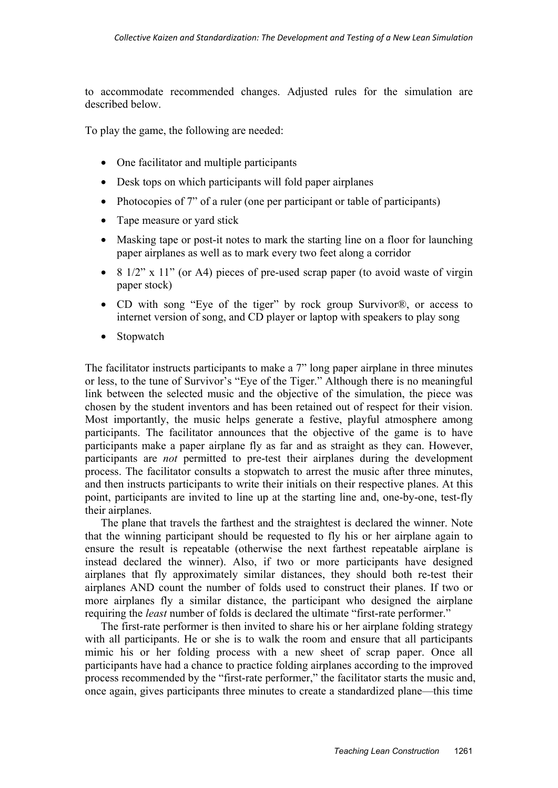to accommodate recommended changes. Adjusted rules for the simulation are described below.

To play the game, the following are needed:

- One facilitator and multiple participants
- Desk tops on which participants will fold paper airplanes
- Photocopies of 7" of a ruler (one per participant or table of participants)
- Tape measure or yard stick
- Masking tape or post-it notes to mark the starting line on a floor for launching paper airplanes as well as to mark every two feet along a corridor
- 8  $1/2$ " x  $11$ " (or A4) pieces of pre-used scrap paper (to avoid waste of virgin paper stock)
- CD with song "Eye of the tiger" by rock group Survivor®, or access to internet version of song, and CD player or laptop with speakers to play song
- Stopwatch

The facilitator instructs participants to make a 7" long paper airplane in three minutes or less, to the tune of Survivor's "Eye of the Tiger." Although there is no meaningful link between the selected music and the objective of the simulation, the piece was chosen by the student inventors and has been retained out of respect for their vision. Most importantly, the music helps generate a festive, playful atmosphere among participants. The facilitator announces that the objective of the game is to have participants make a paper airplane fly as far and as straight as they can. However, participants are *not* permitted to pre-test their airplanes during the development process. The facilitator consults a stopwatch to arrest the music after three minutes, and then instructs participants to write their initials on their respective planes. At this point, participants are invited to line up at the starting line and, one-by-one, test-fly their airplanes.

The plane that travels the farthest and the straightest is declared the winner. Note that the winning participant should be requested to fly his or her airplane again to ensure the result is repeatable (otherwise the next farthest repeatable airplane is instead declared the winner). Also, if two or more participants have designed airplanes that fly approximately similar distances, they should both re-test their airplanes AND count the number of folds used to construct their planes. If two or more airplanes fly a similar distance, the participant who designed the airplane requiring the *least* number of folds is declared the ultimate "first-rate performer."

The first-rate performer is then invited to share his or her airplane folding strategy with all participants. He or she is to walk the room and ensure that all participants mimic his or her folding process with a new sheet of scrap paper. Once all participants have had a chance to practice folding airplanes according to the improved process recommended by the "first-rate performer," the facilitator starts the music and, once again, gives participants three minutes to create a standardized plane—this time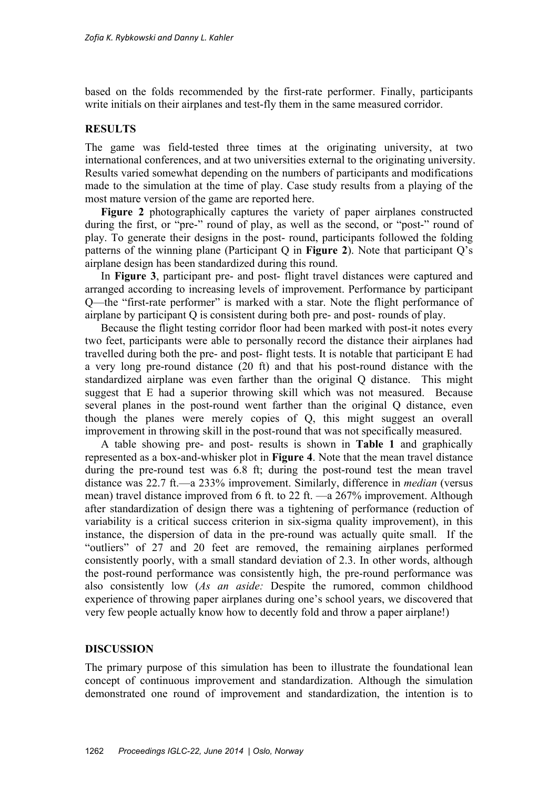based on the folds recommended by the first-rate performer. Finally, participants write initials on their airplanes and test-fly them in the same measured corridor.

## **RESULTS**

The game was field-tested three times at the originating university, at two international conferences, and at two universities external to the originating university. Results varied somewhat depending on the numbers of participants and modifications made to the simulation at the time of play. Case study results from a playing of the most mature version of the game are reported here.

**Figure 2** photographically captures the variety of paper airplanes constructed during the first, or "pre-" round of play, as well as the second, or "post-" round of play. To generate their designs in the post- round, participants followed the folding patterns of the winning plane (Participant Q in **Figure 2**). Note that participant Q's airplane design has been standardized during this round.

In **Figure 3**, participant pre- and post- flight travel distances were captured and arranged according to increasing levels of improvement. Performance by participant Q—the "first-rate performer" is marked with a star. Note the flight performance of airplane by participant Q is consistent during both pre- and post- rounds of play.

Because the flight testing corridor floor had been marked with post-it notes every two feet, participants were able to personally record the distance their airplanes had travelled during both the pre- and post- flight tests. It is notable that participant E had a very long pre-round distance (20 ft) and that his post-round distance with the standardized airplane was even farther than the original Q distance. This might suggest that E had a superior throwing skill which was not measured. Because several planes in the post-round went farther than the original Q distance, even though the planes were merely copies of Q, this might suggest an overall improvement in throwing skill in the post-round that was not specifically measured.

A table showing pre- and post- results is shown in **Table 1** and graphically represented as a box-and-whisker plot in **Figure 4**. Note that the mean travel distance during the pre-round test was 6.8 ft; during the post-round test the mean travel distance was 22.7 ft.—a 233% improvement. Similarly, difference in *median* (versus mean) travel distance improved from 6 ft. to 22 ft. —a 267% improvement. Although after standardization of design there was a tightening of performance (reduction of variability is a critical success criterion in six-sigma quality improvement), in this instance, the dispersion of data in the pre-round was actually quite small. If the "outliers" of 27 and 20 feet are removed, the remaining airplanes performed consistently poorly, with a small standard deviation of 2.3. In other words, although the post-round performance was consistently high, the pre-round performance was also consistently low (*As an aside:* Despite the rumored, common childhood experience of throwing paper airplanes during one's school years, we discovered that very few people actually know how to decently fold and throw a paper airplane!)

## **DISCUSSION**

The primary purpose of this simulation has been to illustrate the foundational lean concept of continuous improvement and standardization. Although the simulation demonstrated one round of improvement and standardization, the intention is to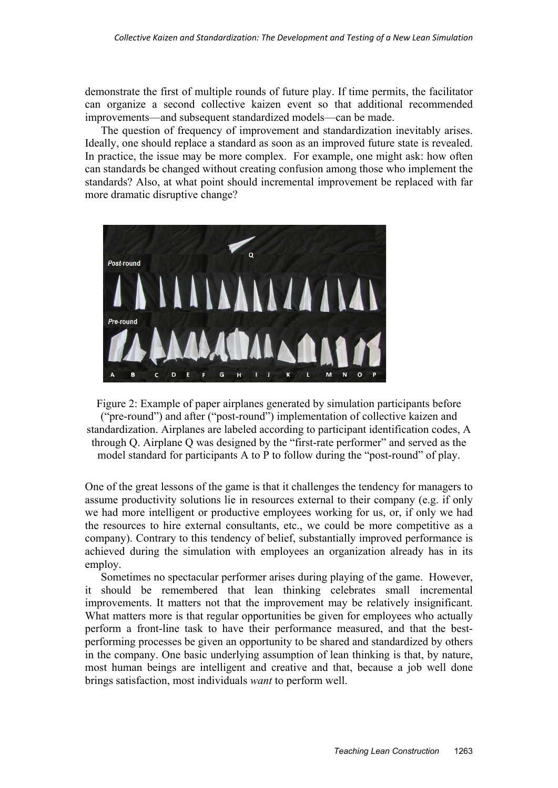demonstrate the first of multiple rounds of future play. If time permits, the facilitator can organize a second collective kaizen event so that additional recommended improvements—and subsequent standardized models—can be made.

The question of frequency of improvement and standardization inevitably arises. Ideally, one should replace a standard as soon as an improved future state is revealed. In practice, the issue may be more complex. For example, one might ask: how often can standards be changed without creating confusion among those who implement the standards? Also, at what point should incremental improvement be replaced with far more dramatic disruptive change?



Figure 2: Example of paper airplanes generated by simulation participants before ("pre-round") and after ("post-round") implementation of collective kaizen and standardization. Airplanes are labeled according to participant identification codes, A through Q. Airplane Q was designed by the "first-rate performer" and served as the model standard for participants A to P to follow during the "post-round" of play.

One of the great lessons of the game is that it challenges the tendency for managers to assume productivity solutions lie in resources external to their company (e.g. if only we had more intelligent or productive employees working for us, or, if only we had the resources to hire external consultants, etc., we could be more competitive as a company). Contrary to this tendency of belief, substantially improved performance is achieved during the simulation with employees an organization already has in its employ.

Sometimes no spectacular performer arises during playing of the game. However, it should be remembered that lean thinking celebrates small incremental improvements. It matters not that the improvement may be relatively insignificant. What matters more is that regular opportunities be given for employees who actually perform a front-line task to have their performance measured, and that the bestperforming processes be given an opportunity to be shared and standardized by others in the company. One basic underlying assumption of lean thinking is that, by nature, most human beings are intelligent and creative and that, because a job well done brings satisfaction, most individuals *want* to perform well.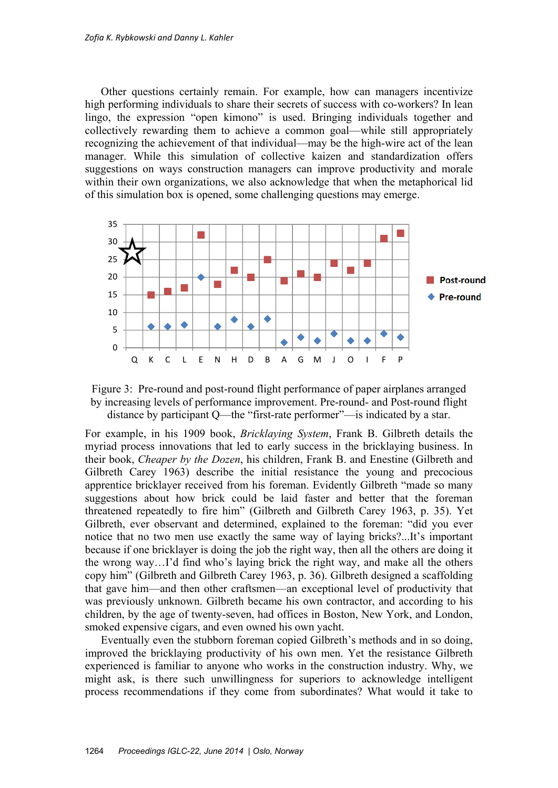Other questions certainly remain. For example, how can managers incentivize high performing individuals to share their secrets of success with co-workers? In lean lingo, the expression "open kimono" is used. Bringing individuals together and collectively rewarding them to achieve a common goal—while still appropriately recognizing the achievement of that individual—may be the high-wire act of the lean manager. While this simulation of collective kaizen and standardization offers suggestions on ways construction managers can improve productivity and morale within their own organizations, we also acknowledge that when the metaphorical lid of this simulation box is opened, some challenging questions may emerge.





For example, in his 1909 book, *Bricklaying System*, Frank B. Gilbreth details the myriad process innovations that led to early success in the bricklaying business. In their book, *Cheaper by the Dozen*, his children, Frank B. and Enestine (Gilbreth and Gilbreth Carey 1963) describe the initial resistance the young and precocious apprentice bricklayer received from his foreman. Evidently Gilbreth "made so many suggestions about how brick could be laid faster and better that the foreman threatened repeatedly to fire him" (Gilbreth and Gilbreth Carey 1963, p. 35). Yet Gilbreth, ever observant and determined, explained to the foreman: "did you ever notice that no two men use exactly the same way of laying bricks?...It's important because if one bricklayer is doing the job the right way, then all the others are doing it the wrong way…I'd find who's laying brick the right way, and make all the others copy him" (Gilbreth and Gilbreth Carey 1963, p. 36). Gilbreth designed a scaffolding that gave him—and then other craftsmen—an exceptional level of productivity that was previously unknown. Gilbreth became his own contractor, and according to his children, by the age of twenty-seven, had offices in Boston, New York, and London, smoked expensive cigars, and even owned his own yacht.

Eventually even the stubborn foreman copied Gilbreth's methods and in so doing, improved the bricklaying productivity of his own men. Yet the resistance Gilbreth experienced is familiar to anyone who works in the construction industry. Why, we might ask, is there such unwillingness for superiors to acknowledge intelligent process recommendations if they come from subordinates? What would it take to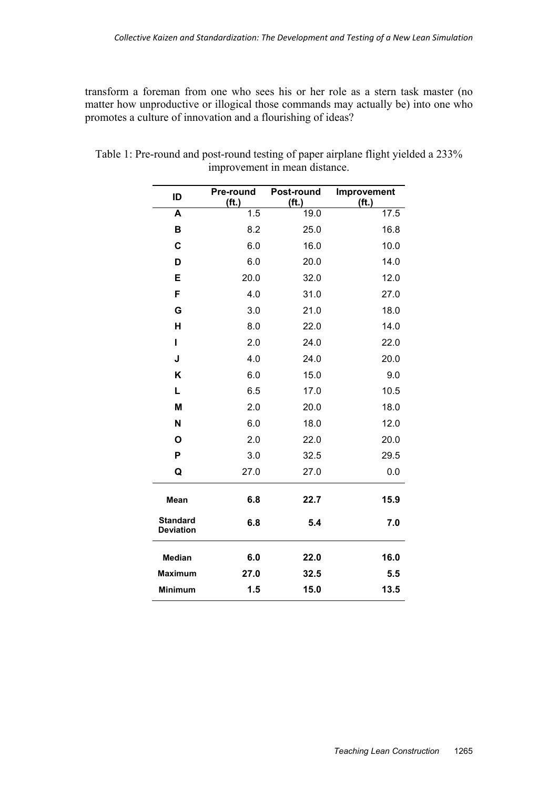transform a foreman from one who sees his or her role as a stern task master (no matter how unproductive or illogical those commands may actually be) into one who promotes a culture of innovation and a flourishing of ideas?

| ID                                  | Pre-round<br>(f <sub>t</sub> ) | Post-round<br>(f <sub>t</sub> ) | Improvement<br>(f <sup>t</sup> ) |
|-------------------------------------|--------------------------------|---------------------------------|----------------------------------|
| A                                   | 1.5                            | 19.0                            | 17.5                             |
| B                                   | 8.2                            | 25.0                            | 16.8                             |
| C                                   | 6.0                            | 16.0                            | 10.0                             |
| D                                   | 6.0                            | 20.0                            | 14.0                             |
| E                                   | 20.0                           | 32.0                            | 12.0                             |
| F                                   | 4.0                            | 31.0                            | 27.0                             |
| G                                   | 3.0                            | 21.0                            | 18.0                             |
| H                                   | 8.0                            | 22.0                            | 14.0                             |
| I                                   | 2.0                            | 24.0                            | 22.0                             |
| J                                   | 4.0                            | 24.0                            | 20.0                             |
| K                                   | 6.0                            | 15.0                            | 9.0                              |
| L                                   | 6.5                            | 17.0                            | 10.5                             |
| M                                   | 2.0                            | 20.0                            | 18.0                             |
| N                                   | 6.0                            | 18.0                            | 12.0                             |
| O                                   | 2.0                            | 22.0                            | 20.0                             |
| P                                   | 3.0                            | 32.5                            | 29.5                             |
| Q                                   | 27.0                           | 27.0                            | 0.0                              |
| Mean                                | 6.8                            | 22.7                            | 15.9                             |
| <b>Standard</b><br><b>Deviation</b> | 6.8                            | 5.4                             | 7.0                              |
| <b>Median</b>                       | 6.0                            | 22.0                            | 16.0                             |
| <b>Maximum</b>                      | 27.0                           | 32.5                            | 5.5                              |
| <b>Minimum</b>                      | 1.5                            | 15.0                            | 13.5                             |

Table 1: Pre-round and post-round testing of paper airplane flight yielded a 233% improvement in mean distance.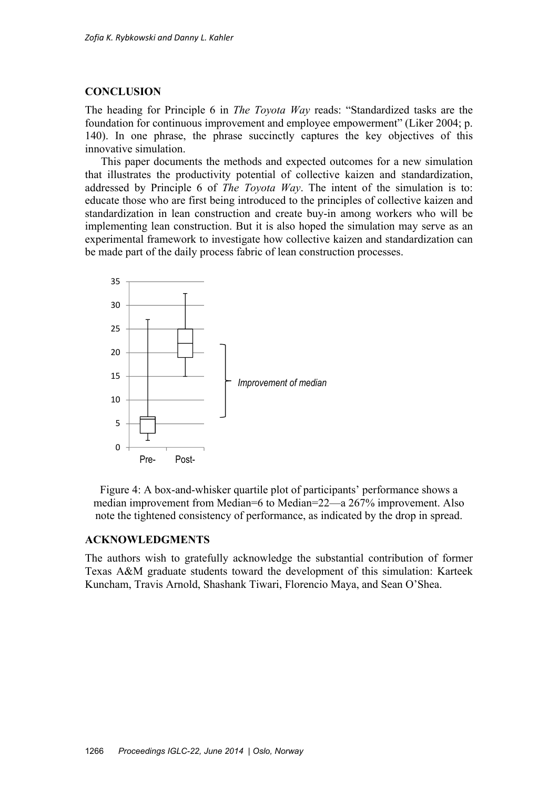#### **CONCLUSION**

The heading for Principle 6 in *The Toyota Way* reads: "Standardized tasks are the foundation for continuous improvement and employee empowerment" (Liker 2004; p. 140). In one phrase, the phrase succinctly captures the key objectives of this innovative simulation.

This paper documents the methods and expected outcomes for a new simulation that illustrates the productivity potential of collective kaizen and standardization, addressed by Principle 6 of *The Toyota Way*. The intent of the simulation is to: educate those who are first being introduced to the principles of collective kaizen and standardization in lean construction and create buy-in among workers who will be implementing lean construction. But it is also hoped the simulation may serve as an experimental framework to investigate how collective kaizen and standardization can be made part of the daily process fabric of lean construction processes.



Figure 4: A box-and-whisker quartile plot of participants' performance shows a median improvement from Median=6 to Median=22—a 267% improvement. Also note the tightened consistency of performance, as indicated by the drop in spread.

## **ACKNOWLEDGMENTS**

The authors wish to gratefully acknowledge the substantial contribution of former Texas A&M graduate students toward the development of this simulation: Karteek Kuncham, Travis Arnold, Shashank Tiwari, Florencio Maya, and Sean O'Shea.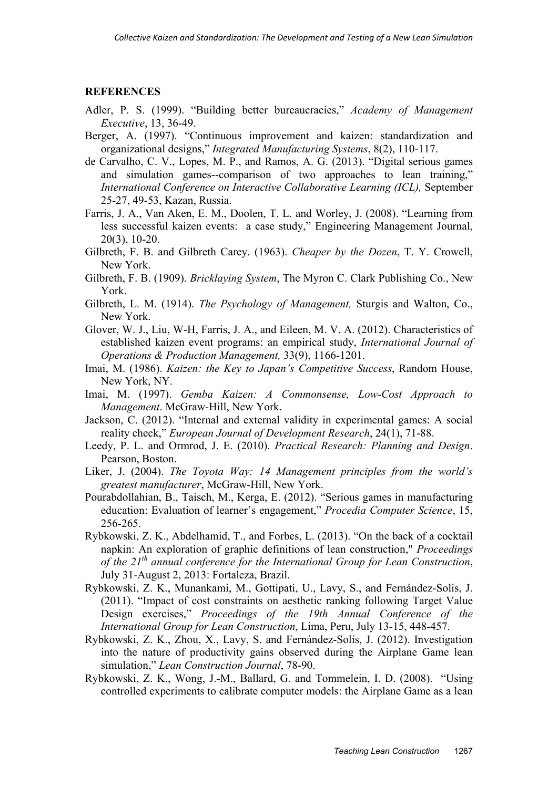## **REFERENCES**

- Adler, P. S. (1999). "Building better bureaucracies," *Academy of Management Executive*, 13, 36-49.
- Berger, A. (1997). "Continuous improvement and kaizen: standardization and organizational designs," *Integrated Manufacturing Systems*, 8(2), 110-117.
- de Carvalho, C. V., Lopes, M. P., and Ramos, A. G. (2013). "Digital serious games and simulation games--comparison of two approaches to lean training," *International Conference on Interactive Collaborative Learning (ICL),* September 25-27, 49-53, Kazan, Russia.
- Farris, J. A., Van Aken, E. M., Doolen, T. L. and Worley, J. (2008). "Learning from less successful kaizen events: a case study," Engineering Management Journal, 20(3), 10-20.
- Gilbreth, F. B. and Gilbreth Carey. (1963). *Cheaper by the Dozen*, T. Y. Crowell, New York.
- Gilbreth, F. B. (1909). *Bricklaying System*, The Myron C. Clark Publishing Co., New York.
- Gilbreth, L. M. (1914). *The Psychology of Management,* Sturgis and Walton, Co., New York.
- Glover, W. J., Liu, W-H, Farris, J. A., and Eileen, M. V. A. (2012). Characteristics of established kaizen event programs: an empirical study, *International Journal of Operations & Production Management,* 33(9), 1166-1201.
- Imai, M. (1986). *Kaizen: the Key to Japan's Competitive Success*, Random House, New York, NY.
- Imai, M. (1997). *Gemba Kaizen: A Commonsense, Low-Cost Approach to Management*. McGraw-Hill, New York.
- Jackson, C. (2012). "Internal and external validity in experimental games: A social reality check," *European Journal of Development Research*, 24(1), 71-88.
- Leedy, P. L. and Ormrod, J. E. (2010). *Practical Research: Planning and Design*. Pearson, Boston.
- Liker, J. (2004). *The Toyota Way: 14 Management principles from the world's greatest manufacturer*, McGraw-Hill, New York.
- Pourabdollahian, B., Taisch, M., Kerga, E. (2012). "Serious games in manufacturing education: Evaluation of learner's engagement," *Procedia Computer Science*, 15, 256-265.
- Rybkowski, Z. K., Abdelhamid, T., and Forbes, L. (2013). "On the back of a cocktail napkin: An exploration of graphic definitions of lean construction," *Proceedings of the 21th annual conference for the International Group for Lean Construction*, July 31-August 2, 2013: Fortaleza, Brazil.
- Rybkowski, Z. K., Munankami, M., Gottipati, U., Lavy, S., and Fernández-Solis, J. (2011). "Impact of cost constraints on aesthetic ranking following Target Value Design exercises," *Proceedings of the 19th Annual Conference of the International Group for Lean Construction*, Lima, Peru, July 13-15, 448-457.
- Rybkowski, Z. K., Zhou, X., Lavy, S. and Fernández-Solís, J. (2012). Investigation into the nature of productivity gains observed during the Airplane Game lean simulation," *Lean Construction Journal*, 78-90.
- Rybkowski, Z. K., Wong, J.-M., Ballard, G. and Tommelein, I. D. (2008). "Using controlled experiments to calibrate computer models: the Airplane Game as a lean